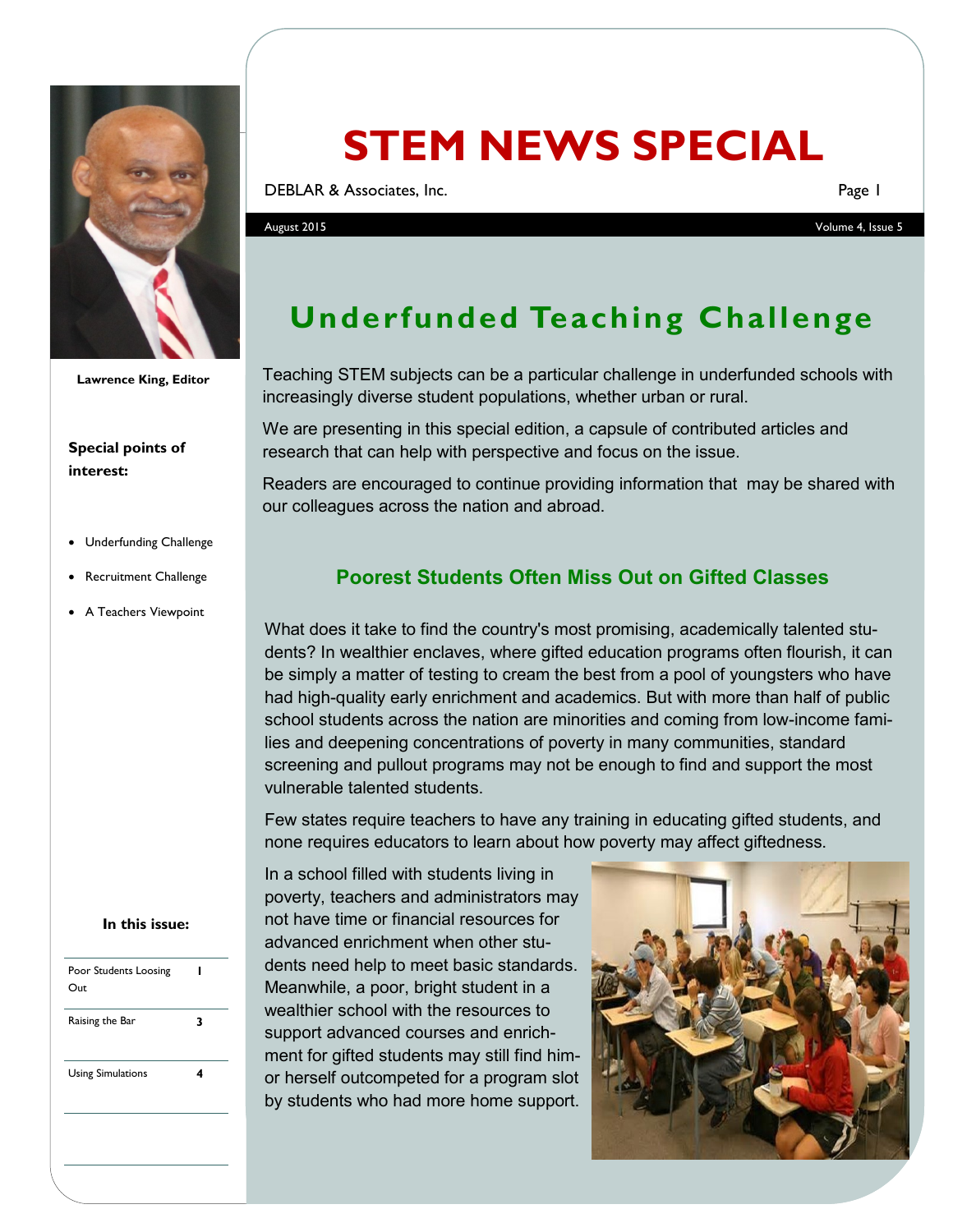

**Lawrence King, Editor**

#### **Special points of interest:**

- Underfunding Challenge
- Recruitment Challenge
- A Teachers Viewpoint

#### **In this issue:**

| 3 |
|---|
|   |
|   |

# **STEM NEWS SPECIAL**

DEBLAR & Associates, Inc. Page 1

August 2015 Volume 4, Issue 5

## **Underfunded Teaching Challenge**

Teaching STEM subjects can be a particular challenge in underfunded schools with increasingly diverse student populations, whether urban or rural.

We are presenting in this special edition, a capsule of contributed articles and research that can help with perspective and focus on the issue.

Readers are encouraged to continue providing information that may be shared with our colleagues across the nation and abroad.

#### **Poorest Students Often Miss Out on Gifted Classes**

What does it take to find the country's most promising, academically talented students? In wealthier enclaves, where gifted education programs often flourish, it can be simply a matter of testing to cream the best from a pool of youngsters who have had high-quality early enrichment and academics. But with more than half of public school students across the nation are minorities and coming from low-income families and deepening concentrations of poverty in many communities, standard screening and pullout programs may not be enough to find and support the most vulnerable talented students.

Few states require teachers to have any training in educating gifted students, and none requires educators to learn about how poverty may affect giftedness.

In a school filled with students living in poverty, teachers and administrators may not have time or financial resources for advanced enrichment when other students need help to meet basic standards. Meanwhile, a poor, bright student in a wealthier school with the resources to support advanced courses and enrichment for gifted students may still find himor herself outcompeted for a program slot by students who had more home support.

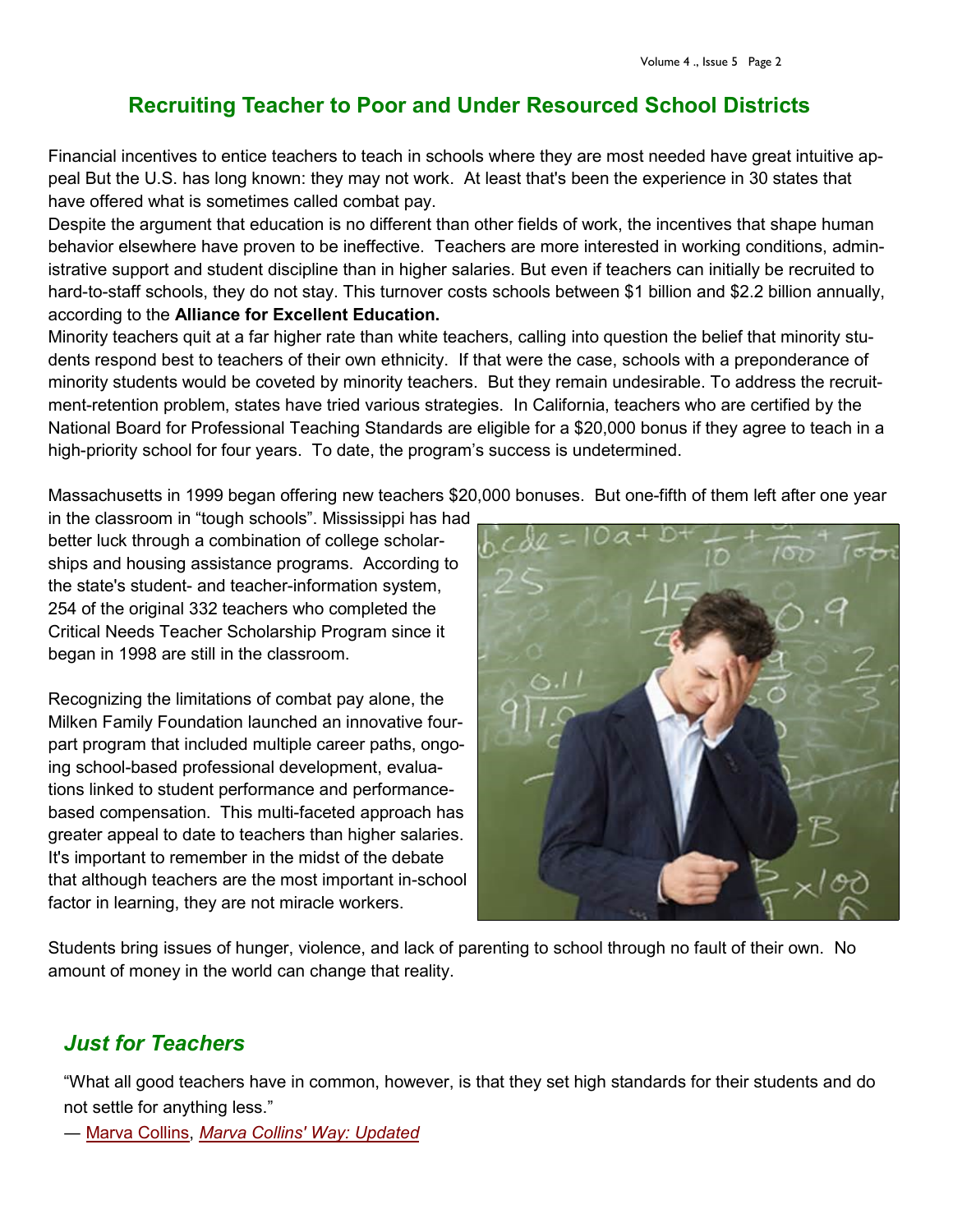#### **Recruiting Teacher to Poor and Under Resourced School Districts**

Financial incentives to entice teachers to teach in schools where they are most needed have great intuitive appeal But the U.S. has long known: they may not work. At least that's been the experience in 30 states that have offered what is sometimes called combat pay.

Despite the argument that education is no different than other fields of work, the incentives that shape human behavior elsewhere have proven to be ineffective. Teachers are more interested in working conditions, administrative support and student discipline than in higher salaries. But even if teachers can initially be recruited to hard-to-staff schools, they do not stay. This turnover costs schools between \$1 billion and \$2.2 billion annually, according to the **Alliance for Excellent Education.**

Minority teachers quit at a far higher rate than white teachers, calling into question the belief that minority students respond best to teachers of their own ethnicity. If that were the case, schools with a preponderance of minority students would be coveted by minority teachers. But they remain undesirable. To address the recruitment-retention problem, states have tried various strategies. In California, teachers who are certified by the National Board for Professional Teaching Standards are eligible for a \$20,000 bonus if they agree to teach in a high-priority school for four years. To date, the program's success is undetermined.

Massachusetts in 1999 began offering new teachers \$20,000 bonuses. But one-fifth of them left after one year

in the classroom in "tough schools". Mississippi has had better luck through a combination of college scholarships and housing assistance programs. According to the state's student- and teacher-information system, 254 of the original 332 teachers who completed the Critical Needs Teacher Scholarship Program since it began in 1998 are still in the classroom.

Recognizing the limitations of combat pay alone, the Milken Family Foundation launched an innovative fourpart program that included multiple career paths, ongoing school-based professional development, evaluations linked to student performance and performancebased compensation. This multi-faceted approach has greater appeal to date to teachers than higher salaries. It's important to remember in the midst of the debate that although teachers are the most important in-school factor in learning, they are not miracle workers.



Students bring issues of hunger, violence, and lack of parenting to school through no fault of their own. No amount of money in the world can change that reality.

### *Just for Teachers*

"What all good teachers have in common, however, is that they set high standards for their students and do not settle for anything less."

― [Marva Collins,](http://www.goodreads.com/author/show/171858.Marva_Collins) *[Marva Collins' Way: Updated](http://www.goodreads.com/work/quotes/289027)*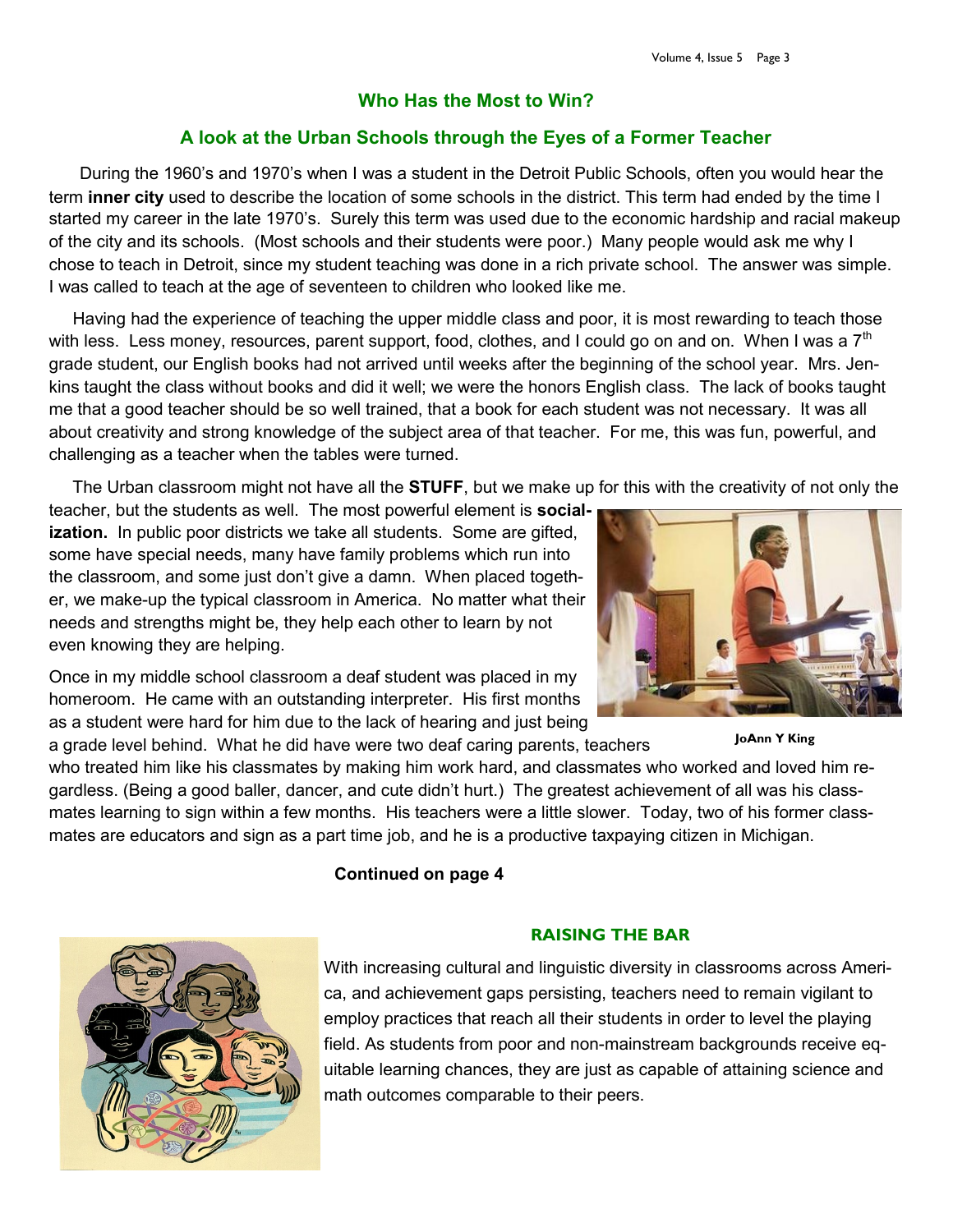#### **Who Has the Most to Win?**

#### **A look at the Urban Schools through the Eyes of a Former Teacher**

 During the 1960's and 1970's when I was a student in the Detroit Public Schools, often you would hear the term **inner city** used to describe the location of some schools in the district. This term had ended by the time I started my career in the late 1970's. Surely this term was used due to the economic hardship and racial makeup of the city and its schools. (Most schools and their students were poor.) Many people would ask me why I chose to teach in Detroit, since my student teaching was done in a rich private school. The answer was simple. I was called to teach at the age of seventeen to children who looked like me.

 Having had the experience of teaching the upper middle class and poor, it is most rewarding to teach those with less. Less money, resources, parent support, food, clothes, and I could go on and on. When I was a  $7<sup>th</sup>$ grade student, our English books had not arrived until weeks after the beginning of the school year. Mrs. Jenkins taught the class without books and did it well; we were the honors English class. The lack of books taught me that a good teacher should be so well trained, that a book for each student was not necessary. It was all about creativity and strong knowledge of the subject area of that teacher. For me, this was fun, powerful, and challenging as a teacher when the tables were turned.

The Urban classroom might not have all the **STUFF**, but we make up for this with the creativity of not only the

teacher, but the students as well. The most powerful element is **socialization.** In public poor districts we take all students. Some are gifted, some have special needs, many have family problems which run into the classroom, and some just don't give a damn. When placed together, we make-up the typical classroom in America. No matter what their needs and strengths might be, they help each other to learn by not even knowing they are helping.

Once in my middle school classroom a deaf student was placed in my homeroom. He came with an outstanding interpreter. His first months as a student were hard for him due to the lack of hearing and just being

a grade level behind. What he did have were two deaf caring parents, teachers

who treated him like his classmates by making him work hard, and classmates who worked and loved him regardless. (Being a good baller, dancer, and cute didn't hurt.) The greatest achievement of all was his classmates learning to sign within a few months. His teachers were a little slower. Today, two of his former classmates are educators and sign as a part time job, and he is a productive taxpaying citizen in Michigan.

#### **Continued on page 4**

#### **RAISING THE BAR**

With increasing cultural and linguistic diversity in classrooms across America, and achievement gaps persisting, teachers need to remain vigilant to employ practices that reach all their students in order to level the playing field. As students from poor and non-mainstream backgrounds receive equitable learning chances, they are just as capable of attaining science and math outcomes comparable to their peers.



**JoAnn Y King**